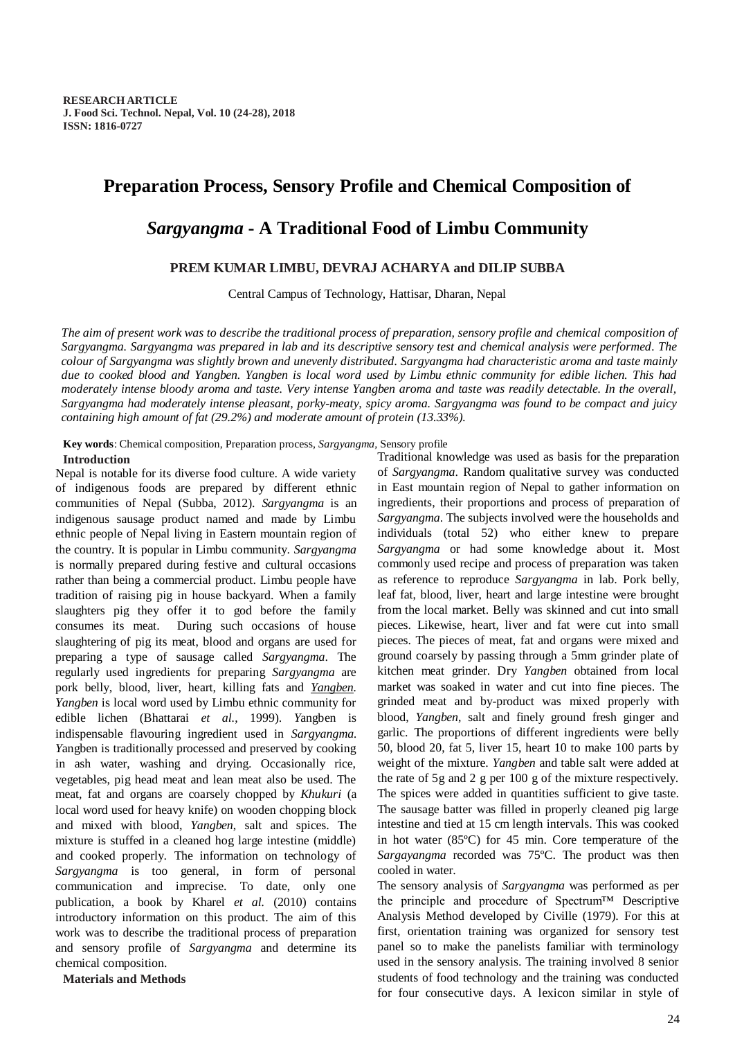# **Preparation Process, Sensory Profile and Chemical Composition of**

# *Sargyangma* **- A Traditional Food of Limbu Community**

# **PREM KUMAR LIMBU, DEVRAJ ACHARYA and DILIP SUBBA**

Central Campus of Technology, Hattisar, Dharan, Nepal

*The aim of present work was to describe the traditional process of preparation, sensory profile and chemical composition of Sargyangma. Sargyangma was prepared in lab and its descriptive sensory test and chemical analysis were performed. The colour of Sargyangma was slightly brown and unevenly distributed. Sargyangma had characteristic aroma and taste mainly due to cooked blood and Yangben. Yangben is local word used by Limbu ethnic community for edible lichen. This had moderately intense bloody aroma and taste. Very intense Yangben aroma and taste was readily detectable. In the overall, Sargyangma had moderately intense pleasant, porky-meaty, spicy aroma. Sargyangma was found to be compact and juicy containing high amount of fat (29.2%) and moderate amount of protein (13.33%).*

**Key words**: Chemical composition, Preparation process, *Sargyangma,* Sensory profile

# **Introduction**

Nepal is notable for its diverse food culture. A wide variety of indigenous foods are prepared by different ethnic communities of Nepal (Subba, 2012). *Sargyangma* is an indigenous sausage product named and made by Limbu ethnic people of Nepal living in Eastern mountain region of the country. It is popular in Limbu community. *Sargyangma* is normally prepared during festive and cultural occasions rather than being a commercial product. Limbu people have tradition of raising pig in house backyard. When a family slaughters pig they offer it to god before the family consumes its meat. During such occasions of house slaughtering of pig its meat, blood and organs are used for preparing a type of sausage called *Sargyangma*. The regularly used ingredients for preparing *Sargyangma* are pork belly, blood, liver, heart, killing fats and *Yangben. Yangben* is local word used by Limbu ethnic community for edible lichen (Bhattarai *et al.*, 1999). *Y*angben is indispensable flavouring ingredient used in *Sargyangma. Y*angben is traditionally processed and preserved by cooking in ash water, washing and drying. Occasionally rice, vegetables, pig head meat and lean meat also be used. The meat, fat and organs are coarsely chopped by *Khukuri* (a local word used for heavy knife) on wooden chopping block and mixed with blood, *Yangben*, salt and spices. The mixture is stuffed in a cleaned hog large intestine (middle) and cooked properly. The information on technology of *Sargyangma* is too general, in form of personal communication and imprecise. To date, only one publication, a book by Kharel *et al.* (2010) contains introductory information on this product. The aim of this work was to describe the traditional process of preparation and sensory profile of *Sargyangma* and determine its chemical composition.

**Materials and Methods**

Traditional knowledge was used as basis for the preparation of *Sargyangma*. Random qualitative survey was conducted in East mountain region of Nepal to gather information on ingredients, their proportions and process of preparation of *Sargyangma*. The subjects involved were the households and individuals (total 52) who either knew to prepare *Sargyangma* or had some knowledge about it. Most commonly used recipe and process of preparation was taken as reference to reproduce *Sargyangma* in lab. Pork belly, leaf fat, blood, liver, heart and large intestine were brought from the local market. Belly was skinned and cut into small pieces. Likewise, heart, liver and fat were cut into small pieces. The pieces of meat, fat and organs were mixed and ground coarsely by passing through a 5mm grinder plate of kitchen meat grinder. Dry *Yangben* obtained from local market was soaked in water and cut into fine pieces. The grinded meat and by-product was mixed properly with blood, *Yangben*, salt and finely ground fresh ginger and garlic. The proportions of different ingredients were belly 50, blood 20, fat 5, liver 15, heart 10 to make 100 parts by weight of the mixture. *Yangben* and table salt were added at the rate of 5g and 2 g per 100 g of the mixture respectively. The spices were added in quantities sufficient to give taste. The sausage batter was filled in properly cleaned pig large intestine and tied at 15 cm length intervals. This was cooked in hot water (85ºC) for 45 min. Core temperature of the *Sargayangma* recorded was 75ºC. The product was then cooled in water.

The sensory analysis of *Sargyangma* was performed as per the principle and procedure of Spectrum™ Descriptive Analysis Method developed by Civille (1979). For this at first, orientation training was organized for sensory test panel so to make the panelists familiar with terminology used in the sensory analysis. The training involved 8 senior students of food technology and the training was conducted for four consecutive days. A lexicon similar in style of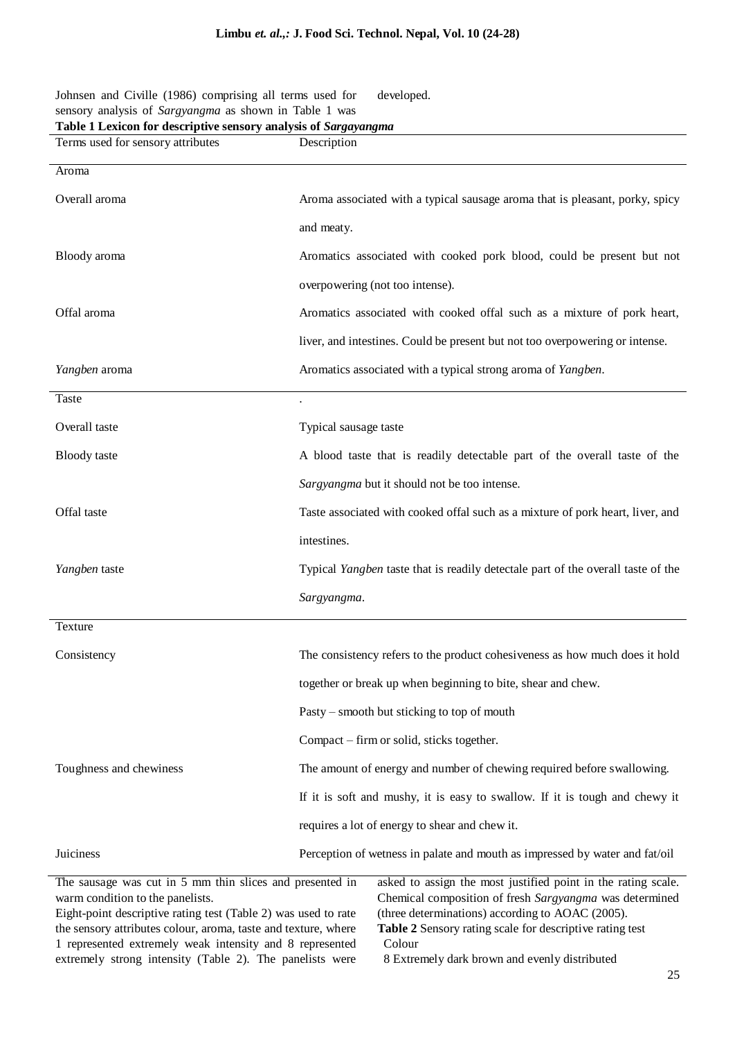developed.

| sensory analysis of Sargyangma as shown in Table 1 was<br>Table 1 Lexicon for descriptive sensory analysis of Sargayangma |                                                                                  |  |
|---------------------------------------------------------------------------------------------------------------------------|----------------------------------------------------------------------------------|--|
| Terms used for sensory attributes                                                                                         | Description                                                                      |  |
| Aroma                                                                                                                     |                                                                                  |  |
| Overall aroma                                                                                                             | Aroma associated with a typical sausage aroma that is pleasant, porky, spicy     |  |
|                                                                                                                           | and meaty.                                                                       |  |
| Bloody aroma                                                                                                              | Aromatics associated with cooked pork blood, could be present but not            |  |
|                                                                                                                           | overpowering (not too intense).                                                  |  |
| Offal aroma                                                                                                               | Aromatics associated with cooked offal such as a mixture of pork heart,          |  |
|                                                                                                                           | liver, and intestines. Could be present but not too overpowering or intense.     |  |
| Yangben aroma                                                                                                             | Aromatics associated with a typical strong aroma of Yangben.                     |  |
| <b>Taste</b>                                                                                                              |                                                                                  |  |
| Overall taste                                                                                                             | Typical sausage taste                                                            |  |
| <b>Bloody</b> taste                                                                                                       | A blood taste that is readily detectable part of the overall taste of the        |  |
|                                                                                                                           | Sargyangma but it should not be too intense.                                     |  |
| Offal taste                                                                                                               | Taste associated with cooked offal such as a mixture of pork heart, liver, and   |  |
|                                                                                                                           | intestines.                                                                      |  |
| Yangben taste                                                                                                             | Typical Yangben taste that is readily detectale part of the overall taste of the |  |
|                                                                                                                           | Sargyangma.                                                                      |  |
| Texture                                                                                                                   |                                                                                  |  |
| Consistency                                                                                                               | The consistency refers to the product cohesiveness as how much does it hold      |  |
|                                                                                                                           | together or break up when beginning to bite, shear and chew.                     |  |
|                                                                                                                           | Pasty – smooth but sticking to top of mouth                                      |  |
|                                                                                                                           | Compact – firm or solid, sticks together.                                        |  |
| Toughness and chewiness                                                                                                   | The amount of energy and number of chewing required before swallowing.           |  |
|                                                                                                                           | If it is soft and mushy, it is easy to swallow. If it is tough and chewy it      |  |
|                                                                                                                           | requires a lot of energy to shear and chew it.                                   |  |
| Juiciness                                                                                                                 | Perception of wetness in palate and mouth as impressed by water and fat/oil      |  |

The sausage was cut in 5 mm thin slices and presented in warm condition to the panelists. Eight-point descriptive rating test (Table 2) was used to rate asked to assign the most justified point in the rating scale. Chemical composition of fresh *Sargyangma* was determined (three determinations) according to AOAC (2005).

the sensory attributes colour, aroma, taste and texture, where 1 represented extremely weak intensity and 8 represented extremely strong intensity (Table 2). The panelists were

Johnsen and Civille (1986) comprising all terms used for

**Table 2** Sensory rating scale for descriptive rating test Colour

8 Extremely dark brown and evenly distributed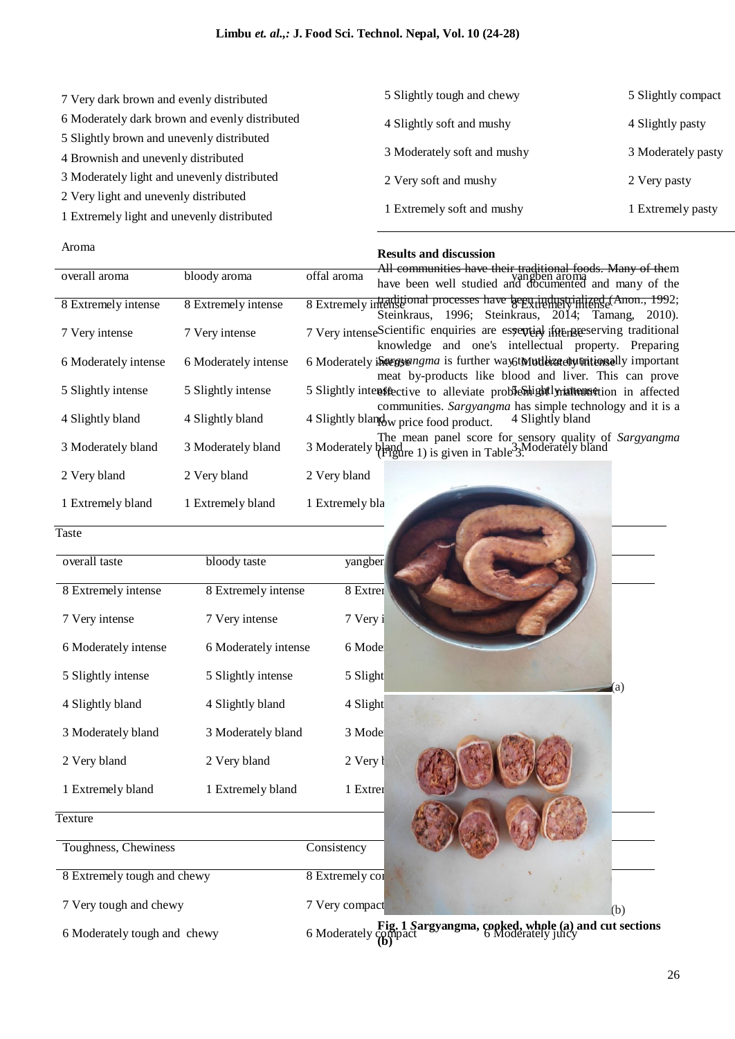| 7 Very dark brown and evenly distributed       | 5 Slightly tough and chewy  | 5 Slightly compact |  |
|------------------------------------------------|-----------------------------|--------------------|--|
| 6 Moderately dark brown and evenly distributed | 4 Slightly soft and mushy   | 4 Slightly pasty   |  |
| 5 Slightly brown and unevenly distributed      |                             |                    |  |
| 4 Brownish and unevenly distributed            | 3 Moderately soft and mushy | 3 Moderately pasty |  |
| 3 Moderately light and unevenly distributed    | 2 Very soft and mushy       | 2 Very pasty       |  |
| 2 Very light and unevenly distributed          |                             |                    |  |
| 1 Extremely light and unevenly distributed     | 1 Extremely soft and mushy  | 1 Extremely pasty  |  |

### Aroma

# **Results and discussion**

| overall aroma        | bloody aroma         | offal aroma                                                                                                                                   |
|----------------------|----------------------|-----------------------------------------------------------------------------------------------------------------------------------------------|
|                      |                      | All communities have their traditional foods. Many of them<br>have been well studied and documented and many of the                           |
| 8 Extremely intense  | 8 Extremely intense  | 8 Extremely intense intense brocesses have been industrialized (Anon., 1992;<br>Steinkraus, 1996; Steinkraus, 2014; Tamang,<br>$2010$ ).      |
| 7 Very intense       | 7 Very intense       | 7 Very intenseScientific enquiries are espertial if a lifer reserving traditional<br>knowledge and one's intellectual property. Preparing     |
| 6 Moderately intense | 6 Moderately intense | 6 Moderately integration is further way to Mutler at environmentally important<br>meat by-products like blood and liver. This can prove       |
| 5 Slightly intense   | 5 Slightly intense   | 5 Slightly intensifiective to alleviate problemightly intertung tion in affected                                                              |
| 4 Slightly bland     | 4 Slightly bland     | communities. Sargyangma has simple technology and it is a<br>4 Slightly bland<br>4 Slightly bland w price food product.                       |
| 3 Moderately bland   | 3 Moderately bland   | The mean panel score for sensory quality of <i>Sargyangma</i> 3 Moderately bland<br>3 Moderately (Figure 1) is given in Table <sup>3</sup> 3. |
| 2 Very bland         | 2 Very bland         | 2 Very bland                                                                                                                                  |
| 1 Extremely bland    | 1 Extremely bland    | 1 Extremely bla                                                                                                                               |

**Taste** 

| overall taste        | bloody taste         | yangben  |
|----------------------|----------------------|----------|
|                      |                      |          |
| 8 Extremely intense  | 8 Extremely intense  | 8 Extrer |
|                      |                      |          |
| 7 Very intense       | 7 Very intense       | 7 Very i |
|                      |                      |          |
| 6 Moderately intense | 6 Moderately intense | 6 Mode   |
| 5 Slightly intense   | 5 Slightly intense   | 5 Slight |
|                      |                      |          |
| 4 Slightly bland     | 4 Slightly bland     | 4 Slight |
|                      |                      |          |
| 3 Moderately bland   | 3 Moderately bland   | 3 Mode   |
|                      |                      |          |
| 2 Very bland         | 2 Very bland         | 2 Very l |
|                      |                      |          |
| 1 Extremely bland    | 1 Extremely bland    | 1 Extrer |
|                      |                      |          |

# (a) (b)

**Texture** 

Toughness, Chewiness Consistency

8 Extremely tough and chewy 8 Extremely compact 8 Extremely compact 8 Extremely compact 8 Extremely compact 8 Extremely compact 8 Extremely compact 8 Extremely compact 8 Extremely compact 8 Extremely compact 8 Extremely co

7 Very tough and chewy 7 Very compact

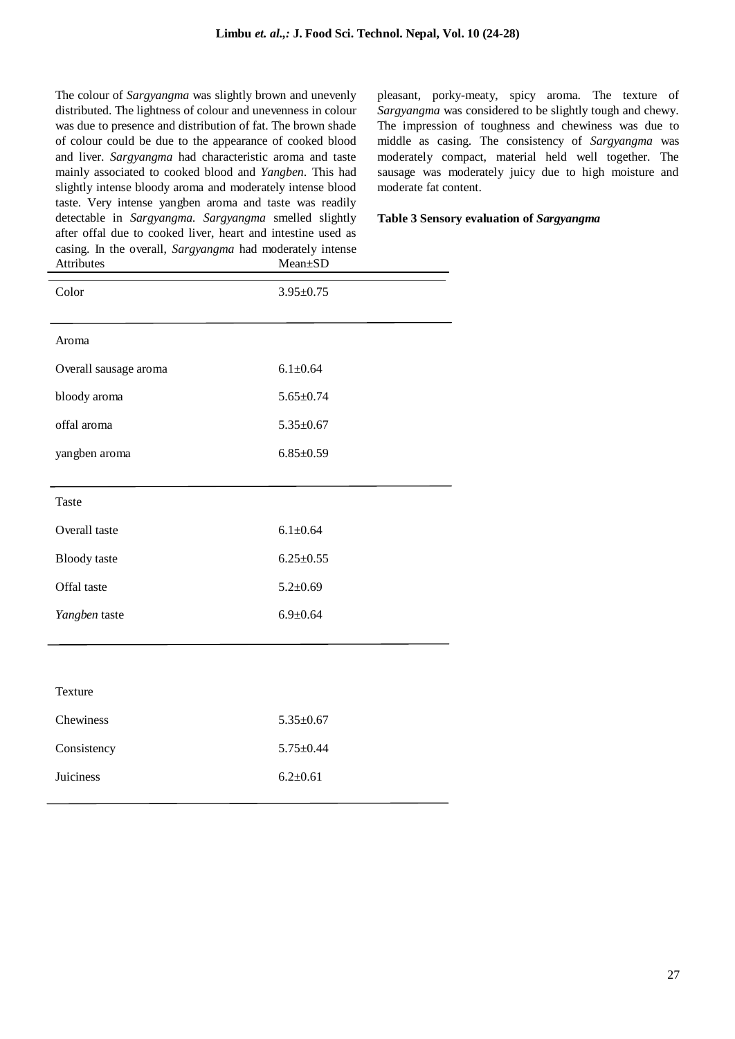The colour of *Sargyangma* was slightly brown and unevenly distributed. The lightness of colour and unevenness in colour was due to presence and distribution of fat. The brown shade of colour could be due to the appearance of cooked blood and liver. *Sargyangma* had characteristic aroma and taste mainly associated to cooked blood and *Yangben*. This had slightly intense bloody aroma and moderately intense blood taste. Very intense yangben aroma and taste was readily detectable in *Sargyangma. Sargyangma* smelled slightly after offal due to cooked liver, heart and intestine used as casing. In the overall, *Sargyangma* had moderately intense

pleasant, porky-meaty, spicy aroma. The texture of *Sargyangma* was considered to be slightly tough and chewy. The impression of toughness and chewiness was due to middle as casing. The consistency of *Sargyangma* was moderately compact, material held well together. The sausage was moderately juicy due to high moisture and moderate fat content.

### **Table 3 Sensory evaluation of** *Sargyangma*

| casing. In the overall, <i>burgyangma</i> had moderately intense<br>Attributes | Mean±SD         |
|--------------------------------------------------------------------------------|-----------------|
| Color                                                                          | $3.95 \pm 0.75$ |
| Aroma                                                                          |                 |
| Overall sausage aroma                                                          | $6.1 \pm 0.64$  |
| bloody aroma                                                                   | $5.65 \pm 0.74$ |
| offal aroma                                                                    | $5.35 \pm 0.67$ |
| yangben aroma                                                                  | $6.85 \pm 0.59$ |
|                                                                                |                 |
| <b>Taste</b>                                                                   |                 |
| Overall taste                                                                  | $6.1 \pm 0.64$  |
| <b>Bloody</b> taste                                                            | $6.25 \pm 0.55$ |
| Offal taste                                                                    | $5.2 \pm 0.69$  |
| Yangben taste                                                                  | $6.9 + 0.64$    |
|                                                                                |                 |
|                                                                                |                 |
| <b>Texture</b>                                                                 |                 |
| Chewiness                                                                      | $5.35 \pm 0.67$ |
| Consistency                                                                    | $5.75 \pm 0.44$ |
| Juiciness                                                                      | $6.2 \pm 0.61$  |
|                                                                                |                 |